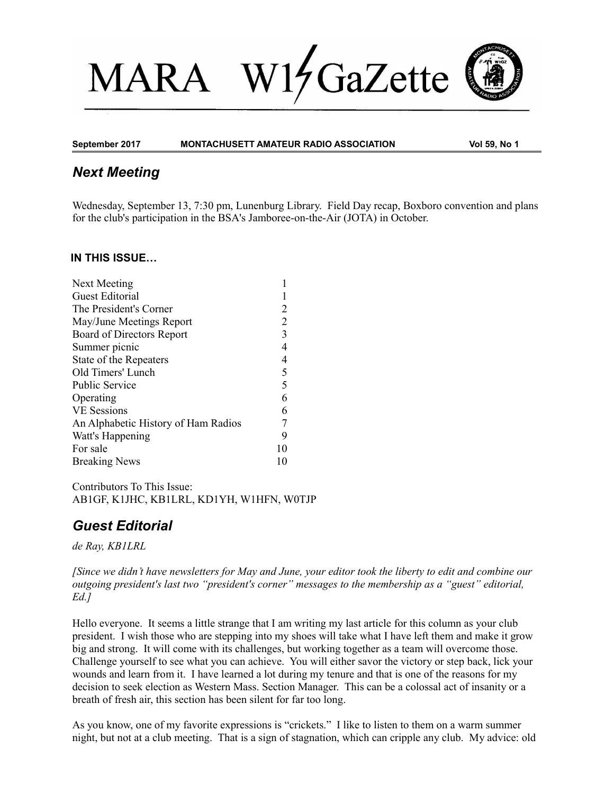# $W1/$ GaZette **MARA**



**September 2017 MONTACHUSETT AMATEUR RADIO ASSOCIATION Vol 59, No 1**

# *Next Meeting*

Wednesday, September 13, 7:30 pm, Lunenburg Library. Field Day recap, Boxboro convention and plans for the club's participation in the BSA's Jamboree-on-the-Air (JOTA) in October.

#### **IN THIS ISSUE…**

| Next Meeting                        |                |
|-------------------------------------|----------------|
| <b>Guest Editorial</b>              |                |
| The President's Corner              | 2              |
| May/June Meetings Report            | $\overline{2}$ |
| Board of Directors Report           | 3              |
| Summer picnic                       | 4              |
| State of the Repeaters              | 4              |
| Old Timers' Lunch                   | 5              |
| <b>Public Service</b>               | 5              |
| Operating                           | 6              |
| <b>VE Sessions</b>                  | 6              |
| An Alphabetic History of Ham Radios |                |
| Watt's Happening                    | 9              |
| For sale                            | 10             |
| <b>Breaking News</b>                |                |

Contributors To This Issue: AB1GF, K1JHC, KB1LRL, KD1YH, W1HFN, W0TJP

# *Guest Editorial*

*de Ray, KB1LRL*

*[Since we didn't have newsletters for May and June, your editor took the liberty to edit and combine our outgoing president's last two "president's corner" messages to the membership as a "guest" editorial, Ed.]*

Hello everyone. It seems a little strange that I am writing my last article for this column as your club president. I wish those who are stepping into my shoes will take what I have left them and make it grow big and strong. It will come with its challenges, but working together as a team will overcome those. Challenge yourself to see what you can achieve. You will either savor the victory or step back, lick your wounds and learn from it. I have learned a lot during my tenure and that is one of the reasons for my decision to seek election as Western Mass. Section Manager. This can be a colossal act of insanity or a breath of fresh air, this section has been silent for far too long.

As you know, one of my favorite expressions is "crickets." I like to listen to them on a warm summer night, but not at a club meeting. That is a sign of stagnation, which can cripple any club. My advice: old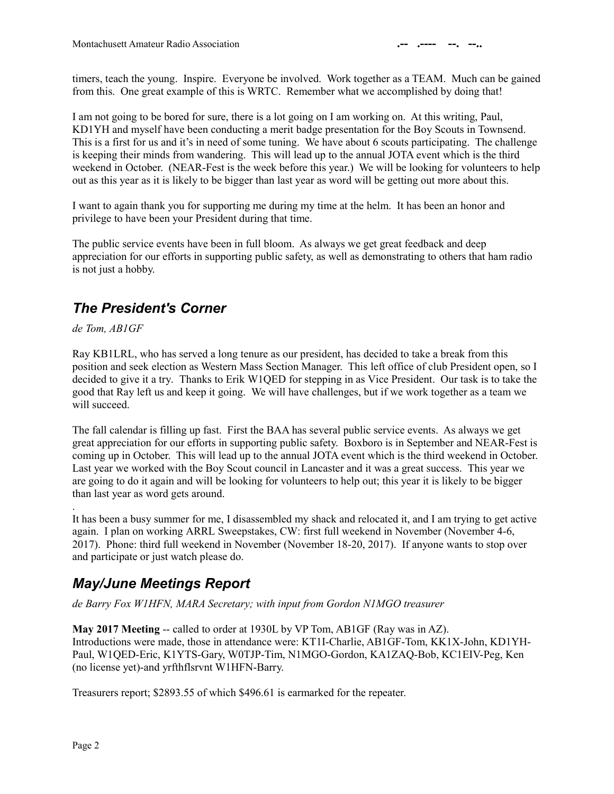timers, teach the young. Inspire. Everyone be involved. Work together as a TEAM. Much can be gained from this. One great example of this is WRTC. Remember what we accomplished by doing that!

I am not going to be bored for sure, there is a lot going on I am working on. At this writing, Paul, KD1YH and myself have been conducting a merit badge presentation for the Boy Scouts in Townsend. This is a first for us and it's in need of some tuning. We have about 6 scouts participating. The challenge is keeping their minds from wandering. This will lead up to the annual JOTA event which is the third weekend in October. (NEAR-Fest is the week before this year.) We will be looking for volunteers to help out as this year as it is likely to be bigger than last year as word will be getting out more about this.

I want to again thank you for supporting me during my time at the helm. It has been an honor and privilege to have been your President during that time.

The public service events have been in full bloom. As always we get great feedback and deep appreciation for our efforts in supporting public safety, as well as demonstrating to others that ham radio is not just a hobby.

# *The President's Corner*

*de Tom, AB1GF*

Ray KB1LRL, who has served a long tenure as our president, has decided to take a break from this position and seek election as Western Mass Section Manager. This left office of club President open, so I decided to give it a try. Thanks to Erik W1QED for stepping in as Vice President. Our task is to take the good that Ray left us and keep it going. We will have challenges, but if we work together as a team we will succeed.

The fall calendar is filling up fast. First the BAA has several public service events. As always we get great appreciation for our efforts in supporting public safety. Boxboro is in September and NEAR-Fest is coming up in October. This will lead up to the annual JOTA event which is the third weekend in October. Last year we worked with the Boy Scout council in Lancaster and it was a great success. This year we are going to do it again and will be looking for volunteers to help out; this year it is likely to be bigger than last year as word gets around.

It has been a busy summer for me, I disassembled my shack and relocated it, and I am trying to get active again. I plan on working ARRL Sweepstakes, CW: first full weekend in November (November 4-6, 2017). Phone: third full weekend in November (November 18-20, 2017). If anyone wants to stop over and participate or just watch please do.

# *May/June Meetings Report*

*de Barry Fox W1HFN, MARA Secretary; with input from Gordon N1MGO treasurer*

**May 2017 Meeting** -- called to order at 1930L by VP Tom, AB1GF (Ray was in AZ). Introductions were made, those in attendance were: KT1I-Charlie, AB1GF-Tom, KK1X-John, KD1YH-Paul, W1QED-Eric, K1YTS-Gary, W0TJP-Tim, N1MGO-Gordon, KA1ZAQ-Bob, KC1EIV-Peg, Ken (no license yet)-and yrfthflsrvnt W1HFN-Barry.

Treasurers report; \$2893.55 of which \$496.61 is earmarked for the repeater.

.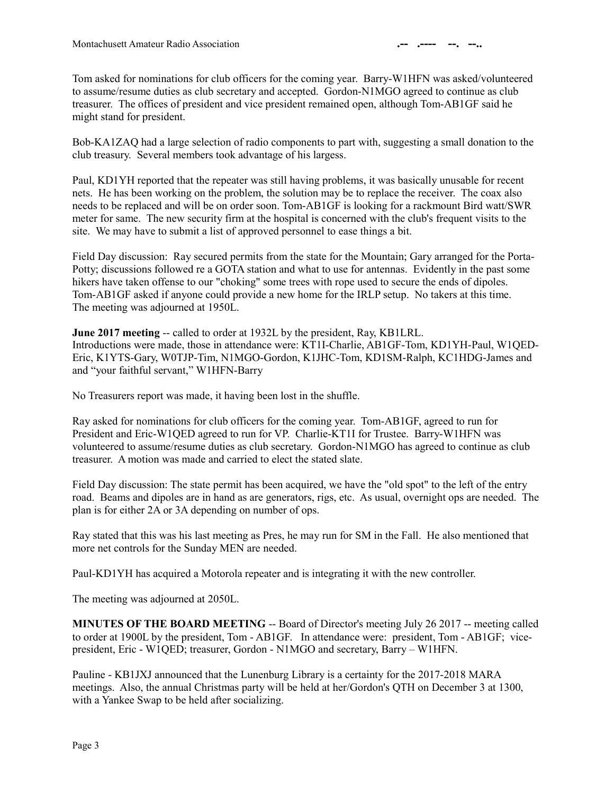Tom asked for nominations for club officers for the coming year. Barry-W1HFN was asked/volunteered to assume/resume duties as club secretary and accepted. Gordon-N1MGO agreed to continue as club treasurer. The offices of president and vice president remained open, although Tom-AB1GF said he might stand for president.

Bob-KA1ZAQ had a large selection of radio components to part with, suggesting a small donation to the club treasury. Several members took advantage of his largess.

Paul, KD1YH reported that the repeater was still having problems, it was basically unusable for recent nets. He has been working on the problem, the solution may be to replace the receiver. The coax also needs to be replaced and will be on order soon. Tom-AB1GF is looking for a rackmount Bird watt/SWR meter for same. The new security firm at the hospital is concerned with the club's frequent visits to the site. We may have to submit a list of approved personnel to ease things a bit.

Field Day discussion: Ray secured permits from the state for the Mountain; Gary arranged for the Porta-Potty; discussions followed re a GOTA station and what to use for antennas. Evidently in the past some hikers have taken offense to our "choking" some trees with rope used to secure the ends of dipoles. Tom-AB1GF asked if anyone could provide a new home for the IRLP setup. No takers at this time. The meeting was adjourned at 1950L.

**June 2017 meeting --** called to order at 1932L by the president, Ray, KB1LRL. Introductions were made, those in attendance were: KT1I-Charlie, AB1GF-Tom, KD1YH-Paul, W1QED-Eric, K1YTS-Gary, W0TJP-Tim, N1MGO-Gordon, K1JHC-Tom, KD1SM-Ralph, KC1HDG-James and and "your faithful servant," W1HFN-Barry

No Treasurers report was made, it having been lost in the shuffle.

Ray asked for nominations for club officers for the coming year. Tom-AB1GF, agreed to run for President and Eric-W1QED agreed to run for VP. Charlie-KT1I for Trustee. Barry-W1HFN was volunteered to assume/resume duties as club secretary. Gordon-N1MGO has agreed to continue as club treasurer. A motion was made and carried to elect the stated slate.

Field Day discussion: The state permit has been acquired, we have the "old spot" to the left of the entry road. Beams and dipoles are in hand as are generators, rigs, etc. As usual, overnight ops are needed. The plan is for either 2A or 3A depending on number of ops.

Ray stated that this was his last meeting as Pres, he may run for SM in the Fall. He also mentioned that more net controls for the Sunday MEN are needed.

Paul-KD1YH has acquired a Motorola repeater and is integrating it with the new controller.

The meeting was adjourned at 2050L.

**MINUTES OF THE BOARD MEETING** -- Board of Director's meeting July 26 2017 -- meeting called to order at 1900L by the president, Tom - AB1GF. In attendance were: president, Tom - AB1GF; vicepresident, Eric - W1QED; treasurer, Gordon - N1MGO and secretary, Barry – W1HFN.

Pauline - KB1JXJ announced that the Lunenburg Library is a certainty for the 2017-2018 MARA meetings. Also, the annual Christmas party will be held at her/Gordon's QTH on December 3 at 1300, with a Yankee Swap to be held after socializing.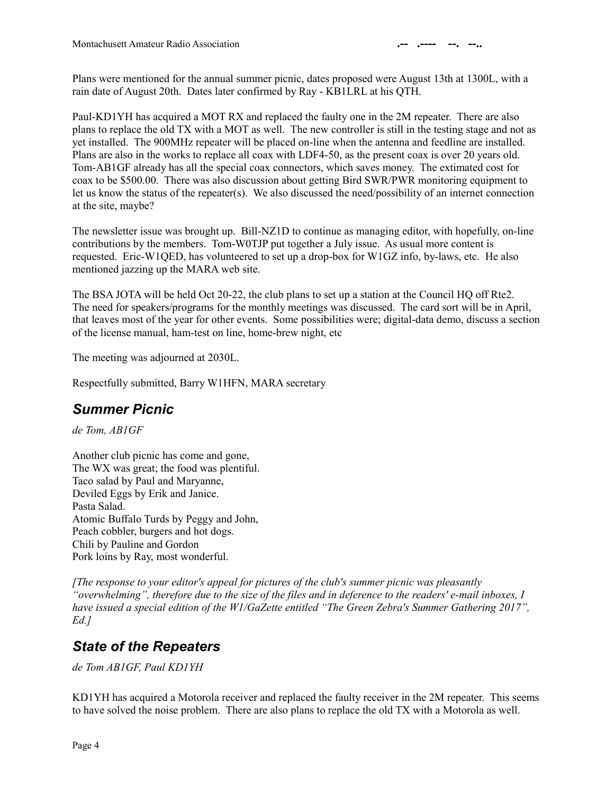Plans were mentioned for the annual summer picnic, dates proposed were August 13th at 1300L, with a rain date of August 20th. Dates later confirmed by Ray - KB1LRL at his QTH.

Paul-KD1YH has acquired a MOT RX and replaced the faulty one in the 2M repeater. There are also plans to replace the old TX with a MOT as well. The new controller is still in the testing stage and not as yet installed. The 900MHz repeater will be placed on-line when the antenna and feedline are installed. Plans are also in the works to replace all coax with LDF4-50, as the present coax is over 20 years old. Tom-AB1GF already has all the special coax connectors, which saves money. The extimated cost for coax to be \$500.00. There was also discussion about getting Bird SWR/PWR monitoring equipment to let us know the status of the repeater(s). We also discussed the need/possibility of an internet connection at the site, maybe?

The newsletter issue was brought up. Bill-NZ1D to continue as managing editor, with hopefully, on-line contributions by the members. Tom-W0TJP put together a July issue. As usual more content is requested. Eric-W1QED, has volunteered to set up a drop-box for W1GZ info, by-laws, etc. He also mentioned jazzing up the MARA web site.

The BSA JOTA will be held Oct 20-22, the club plans to set up a station at the Council HQ off Rte2. The need for speakers/programs for the monthly meetings was discussed. The card sort will be in April, that leaves most of the year for other events. Some possibilities were; digital-data demo, discuss a section of the license manual, ham-test on line, home-brew night, etc

The meeting was adjourned at 2030L.

Respectfully submitted, Barry W1HFN, MARA secretary

# *Summer Picnic*

*de Tom, AB1GF*

Another club picnic has come and gone, The WX was great; the food was plentiful. Taco salad by Paul and Maryanne, Deviled Eggs by Erik and Janice. Pasta Salad. Atomic Buffalo Turds by Peggy and John, Peach cobbler, burgers and hot dogs. Chili by Pauline and Gordon Pork loins by Ray, most wonderful.

*[The response to your editor's appeal for pictures of the club's summer picnic was pleasantly "overwhelming", therefore due to the size of the files and in deference to the readers' e-mail inboxes, I have issued a special edition of the W1/GaZette entitled "The Green Zebra's Summer Gathering 2017", Ed.]* 

### *State of the Repeaters*

*de Tom AB1GF, Paul KD1YH*

KD1YH has acquired a Motorola receiver and replaced the faulty receiver in the 2M repeater. This seems to have solved the noise problem. There are also plans to replace the old TX with a Motorola as well.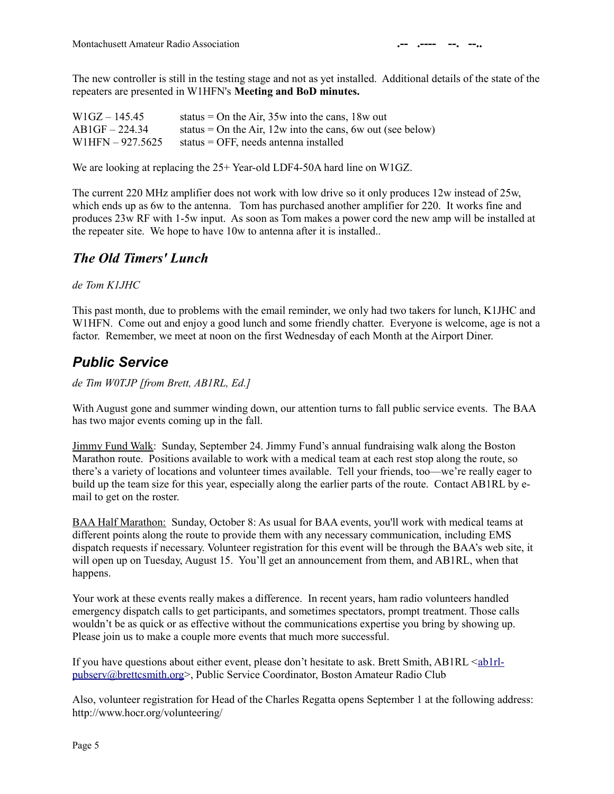The new controller is still in the testing stage and not as yet installed. Additional details of the state of the repeaters are presented in W1HFN's **Meeting and BoD minutes.**

| $W1GZ - 145.45$    | status = On the Air, $35w$ into the cans, $18w$ out          |
|--------------------|--------------------------------------------------------------|
| $AB1GF - 224.34$   | status = On the Air, $12w$ into the cans, 6w out (see below) |
| $W1HFN - 927.5625$ | status = OFF, needs antenna installed                        |

We are looking at replacing the  $25+$  Year-old LDF4-50A hard line on W1GZ.

The current 220 MHz amplifier does not work with low drive so it only produces 12w instead of 25w, which ends up as 6w to the antenna. Tom has purchased another amplifier for 220. It works fine and produces 23w RF with 1-5w input. As soon as Tom makes a power cord the new amp will be installed at the repeater site. We hope to have 10w to antenna after it is installed..

### *The Old Timers' Lunch*

*de Tom K1JHC*

This past month, due to problems with the email reminder, we only had two takers for lunch, K1JHC and W1HFN. Come out and enjoy a good lunch and some friendly chatter. Everyone is welcome, age is not a factor. Remember, we meet at noon on the first Wednesday of each Month at the Airport Diner.

# *Public Service*

*de Tim W0TJP [from Brett, AB1RL, Ed.]*

With August gone and summer winding down, our attention turns to fall public service events. The BAA has two major events coming up in the fall.

Jimmy Fund Walk: Sunday, September 24. Jimmy Fund's annual fundraising walk along the Boston Marathon route. Positions available to work with a medical team at each rest stop along the route, so there's a variety of locations and volunteer times available. Tell your friends, too—we're really eager to build up the team size for this year, especially along the earlier parts of the route. Contact AB1RL by email to get on the roster.

BAA Half Marathon: Sunday, October 8: As usual for BAA events, you'll work with medical teams at different points along the route to provide them with any necessary communication, including EMS dispatch requests if necessary. Volunteer registration for this event will be through the BAA's web site, it will open up on Tuesday, August 15. You'll get an announcement from them, and AB1RL, when that happens.

Your work at these events really makes a difference. In recent years, ham radio volunteers handled emergency dispatch calls to get participants, and sometimes spectators, prompt treatment. Those calls wouldn't be as quick or as effective without the communications expertise you bring by showing up. Please join us to make a couple more events that much more successful.

If you have questions about either event, please don't hesitate to ask. Brett Smith, AB1RL  $\leq_{ab}$ 1rl[pubserv@brettcsmith.org>](mailto:ab1rl-pubserv@brettcsmith.org), Public Service Coordinator, Boston Amateur Radio Club

Also, volunteer registration for Head of the Charles Regatta opens September 1 at the following address: http://www.hocr.org/volunteering/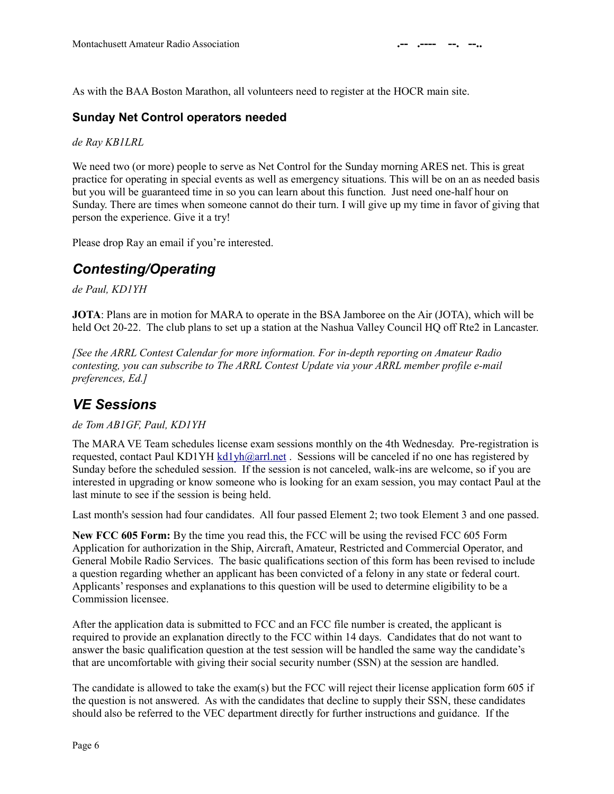As with the BAA Boston Marathon, all volunteers need to register at the HOCR main site.

#### **Sunday Net Control operators needed**

*de Ray KB1LRL*

We need two (or more) people to serve as Net Control for the Sunday morning ARES net. This is great practice for operating in special events as well as emergency situations. This will be on an as needed basis but you will be guaranteed time in so you can learn about this function. Just need one-half hour on Sunday. There are times when someone cannot do their turn. I will give up my time in favor of giving that person the experience. Give it a try!

Please drop Ray an email if you're interested.

# *Contesting/Operating*

*de Paul, KD1YH*

**JOTA**: Plans are in motion for MARA to operate in the BSA Jamboree on the Air (JOTA), which will be held Oct 20-22. The club plans to set up a station at the Nashua Valley Council HO off Rte2 in Lancaster.

*[See the ARRL Contest Calendar for more information. For in-depth reporting on Amateur Radio contesting, you can subscribe to The ARRL Contest Update via your ARRL member profile e-mail preferences, Ed.]*

# *VE Sessions*

#### *de Tom AB1GF, Paul, KD1YH*

The MARA VE Team schedules license exam sessions monthly on the 4th Wednesday. Pre-registration is requested, contact Paul KD1YH [kd1yh@arrl.net](mailto:kd1yh@arrl.net) . Sessions will be canceled if no one has registered by Sunday before the scheduled session. If the session is not canceled, walk-ins are welcome, so if you are interested in upgrading or know someone who is looking for an exam session, you may contact Paul at the last minute to see if the session is being held.

Last month's session had four candidates. All four passed Element 2; two took Element 3 and one passed.

**New FCC 605 Form:** By the time you read this, the FCC will be using the revised FCC 605 Form Application for authorization in the Ship, Aircraft, Amateur, Restricted and Commercial Operator, and General Mobile Radio Services. The basic qualifications section of this form has been revised to include a question regarding whether an applicant has been convicted of a felony in any state or federal court. Applicants' responses and explanations to this question will be used to determine eligibility to be a Commission licensee.

After the application data is submitted to FCC and an FCC file number is created, the applicant is required to provide an explanation directly to the FCC within 14 days. Candidates that do not want to answer the basic qualification question at the test session will be handled the same way the candidate's that are uncomfortable with giving their social security number (SSN) at the session are handled.

The candidate is allowed to take the exam(s) but the FCC will reject their license application form 605 if the question is not answered. As with the candidates that decline to supply their SSN, these candidates should also be referred to the VEC department directly for further instructions and guidance. If the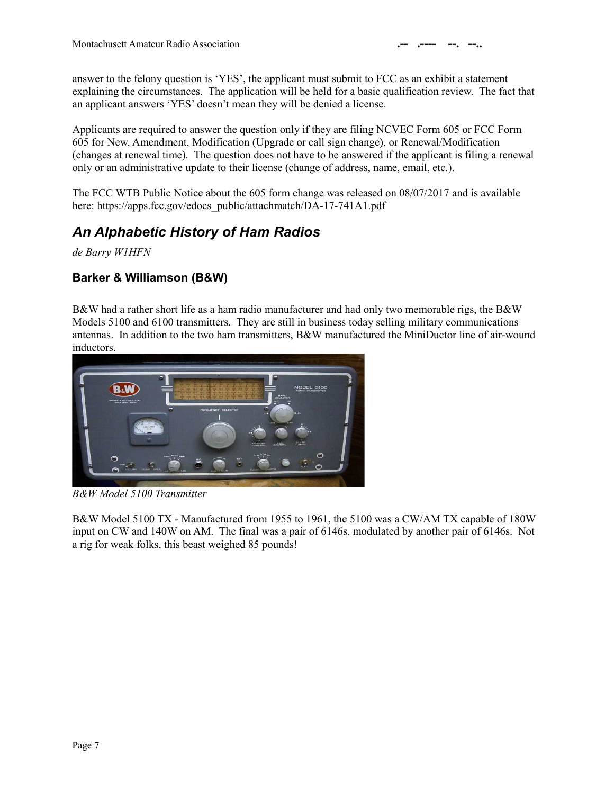answer to the felony question is 'YES', the applicant must submit to FCC as an exhibit a statement explaining the circumstances. The application will be held for a basic qualification review. The fact that an applicant answers 'YES' doesn't mean they will be denied a license.

Applicants are required to answer the question only if they are filing NCVEC Form 605 or FCC Form 605 for New, Amendment, Modification (Upgrade or call sign change), or Renewal/Modification (changes at renewal time). The question does not have to be answered if the applicant is filing a renewal only or an administrative update to their license (change of address, name, email, etc.).

The FCC WTB Public Notice about the 605 form change was released on 08/07/2017 and is available here: https://apps.fcc.gov/edocs\_public/attachmatch/DA-17-741A1.pdf

### *An Alphabetic History of Ham Radios*

*de Barry W1HFN*

### **Barker & Williamson (B&W)**

B&W had a rather short life as a ham radio manufacturer and had only two memorable rigs, the B&W Models 5100 and 6100 transmitters. They are still in business today selling military communications antennas. In addition to the two ham transmitters, B&W manufactured the MiniDuctor line of air-wound inductors.



*B&W Model 5100 Transmitter*

B&W Model 5100 TX - Manufactured from 1955 to 1961, the 5100 was a CW/AM TX capable of 180W input on CW and 140W on AM. The final was a pair of 6146s, modulated by another pair of 6146s. Not a rig for weak folks, this beast weighed 85 pounds!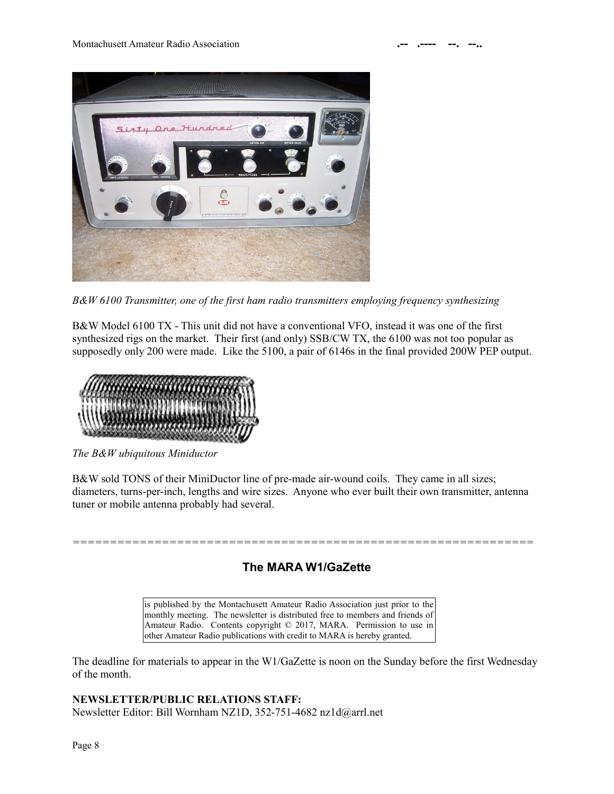

*B&W 6100 Transmitter, one of the first ham radio transmitters employing frequency synthesizing*

B&W Model 6100 TX - This unit did not have a conventional VFO, instead it was one of the first synthesized rigs on the market. Their first (and only) SSB/CW TX, the 6100 was not too popular as supposedly only 200 were made. Like the 5100, a pair of 6146s in the final provided 200W PEP output.



*The B&W ubiquitous Miniductor*

B&W sold TONS of their MiniDuctor line of pre-made air-wound coils. They came in all sizes; diameters, turns-per-inch, lengths and wire sizes. Anyone who ever built their own transmitter, antenna tuner or mobile antenna probably had several.

*==============================================================*

### **The MARA W1/GaZette**

is published by the Montachusett Amateur Radio Association just prior to the monthly meeting. The newsletter is distributed free to members and friends of Amateur Radio. Contents copyright © 2017, MARA. Permission to use in other Amateur Radio publications with credit to MARA is hereby granted.

The deadline for materials to appear in the W1/GaZette is noon on the Sunday before the first Wednesday of the month.

**NEWSLETTER/PUBLIC RELATIONS STAFF:** Newsletter Editor: Bill Wornham NZ1D, 352-751-4682 nz1d@arrl.net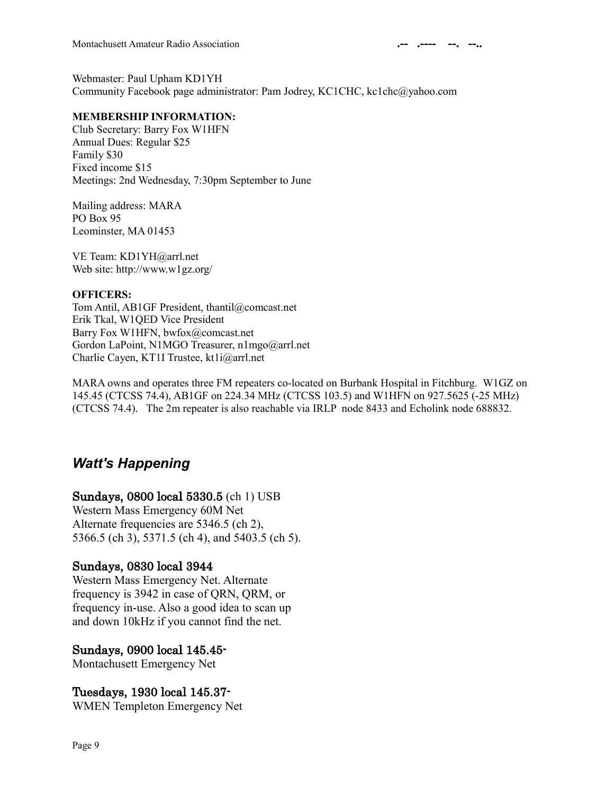Webmaster: Paul Upham KD1YH Community Facebook page administrator: Pam Jodrey, KC1CHC, kc1chc@yahoo.com

#### **MEMBERSHIP INFORMATION:**

Club Secretary: Barry Fox W1HFN Annual Dues: Regular \$25 Family \$30 Fixed income \$15 Meetings: 2nd Wednesday, 7:30pm September to June

Mailing address: MARA PO Box 95 Leominster, MA 01453

VE Team: KD1YH@arrl.net Web site: http://www.w1gz.org/

#### **OFFICERS:**

Tom Antil, AB1GF President, thantil@comcast.net Erik Tkal, W1QED Vice President Barry Fox W1HFN, bwfox@comcast.net Gordon LaPoint, N1MGO Treasurer, n1mgo@arrl.net Charlie Cayen, KT1I Trustee, kt1i@arrl.net

MARA owns and operates three FM repeaters co-located on Burbank Hospital in Fitchburg. W1GZ on 145.45 (CTCSS 74.4), AB1GF on 224.34 MHz (CTCSS 103.5) and W1HFN on 927.5625 (-25 MHz) (CTCSS 74.4). The 2m repeater is also reachable via IRLP node 8433 and Echolink node 688832.

### *Watt's Happening*

#### Sundays, 0800 local 5330.5 (ch 1) USB

Western Mass Emergency 60M Net Alternate frequencies are 5346.5 (ch 2), 5366.5 (ch 3), 5371.5 (ch 4), and 5403.5 (ch 5).

#### Sundays, 0830 local 3944

Western Mass Emergency Net. Alternate frequency is 3942 in case of QRN, QRM, or frequency in-use. Also a good idea to scan up and down 10kHz if you cannot find the net.

#### Sundays, 0900 local 145.45-

Montachusett Emergency Net

### Tuesdays, 1930 local 145.37-

WMEN Templeton Emergency Net